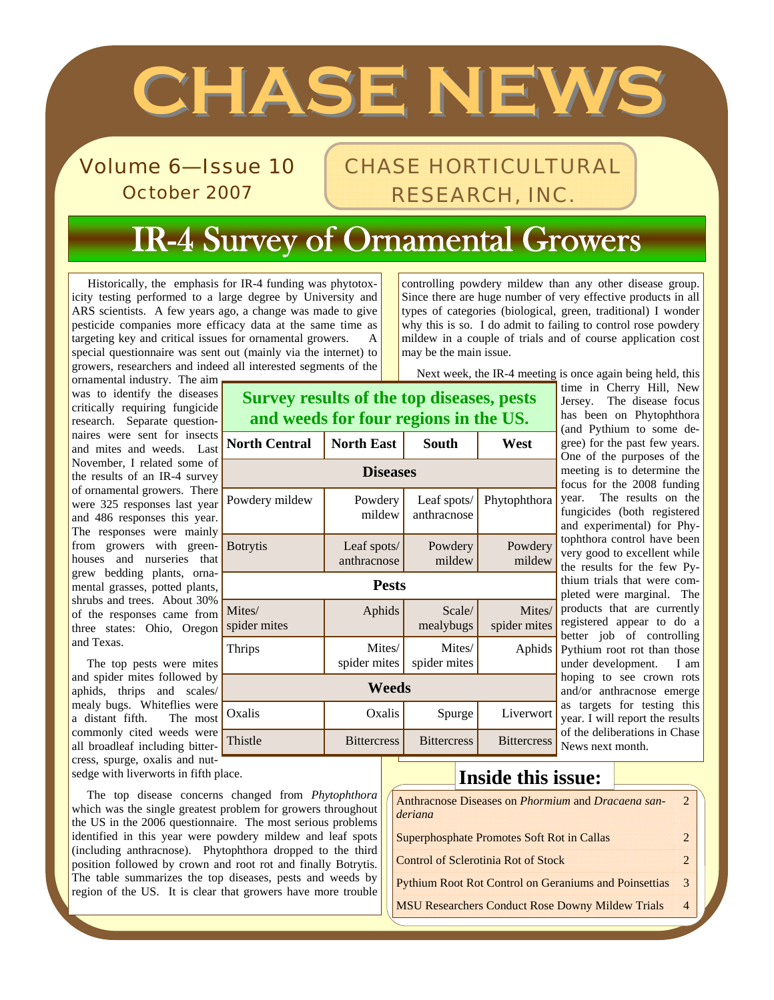# **CHASE NEWS CHASE NEWS**

Volume 6—Issue 10 October 2007

## CHASE HORTICULTURAL RESEARCH, INC.

## IR-4 Survey of Ornamental Growers

 Historically, the emphasis for IR-4 funding was phytotoxicity testing performed to a large degree by University and ARS scientists. A few years ago, a change was made to give pesticide companies more efficacy data at the same time as targeting key and critical issues for ornamental growers. A special questionnaire was sent out (mainly via the internet) to growers, researchers and indeed all interested segments of the

controlling powdery mildew than any other disease group. Since there are huge number of very effective products in all types of categories (biological, green, traditional) I wonder why this is so. I do admit to failing to control rose powdery mildew in a couple of trials and of course application cost may be the main issue.

Next week, the IR-4 meeting is once again being held, this

ornamental industry. The aim was to identify the diseases critically requiring fungicide research. Separate questionnaires were sent for insects **North Central North East | South | West** and mites and weeds. Last November, I related some of the results of an IR-4 survey of ornamental growers. There were 325 responses last year and 486 responses this year. The responses were mainly from growers with greenhouses and nurseries that grew bedding plants, ornamental grasses, potted plants, shrubs and trees. About 30% of the responses came from three states: Ohio, Oregon and Texas.

 The top pests were mites and spider mites followed by aphids, thrips and scales/ mealy bugs. Whiteflies were a distant fifth. The most commonly cited weeds were all broadleaf including bittercress, spurge, oxalis and nut**Survey results of the top diseases, pests and weeds for four regions in the US.** 

| ivorui Central         | INOFUI EASt                | oouun                      | VV ESL                 |  |
|------------------------|----------------------------|----------------------------|------------------------|--|
| <b>Diseases</b>        |                            |                            |                        |  |
| Powdery mildew         | Powdery<br>mildew          | Leaf spots/<br>anthracnose | Phytophthora           |  |
| <b>B</b> otrytis       | Leaf spots/<br>anthracnose | Powdery<br>mildew          | Powdery<br>mildew      |  |
| <b>Pests</b>           |                            |                            |                        |  |
| Mites/<br>spider mites | Aphids                     | Scale/<br>mealybugs        | Mites/<br>spider mites |  |
| Thrips                 | Mites/<br>spider mites     | Mites/<br>spider mites     | Aphids                 |  |
| Weeds                  |                            |                            |                        |  |
| Oxalis                 | Oxalis                     | Spurge                     | Liverwort              |  |
| Thistle                | <b>Bittercress</b>         | <b>Bittercress</b>         | <b>Bittercress</b>     |  |

time in Cherry Hill, New Jersey. The disease focus has been on Phytophthora (and Pythium to some degree) for the past few years. One of the purposes of the meeting is to determine the focus for the 2008 funding year. The results on the fungicides (both registered and experimental) for Phytophthora control have been very good to excellent while the results for the few Pythium trials that were completed were marginal. The products that are currently registered appear to do a better job of controlling Pythium root rot than those under development. I am hoping to see crown rots and/or anthracnose emerge as targets for testing this year. I will report the results of the deliberations in Chase News next month.

sedge with liverworts in fifth place.

 The top disease concerns changed from *Phytophthora* which was the single greatest problem for growers throughout the US in the 2006 questionnaire. The most serious problems identified in this year were powdery mildew and leaf spots (including anthracnose). Phytophthora dropped to the third position followed by crown and root rot and finally Botrytis. The table summarizes the top diseases, pests and weeds by region of the US. It is clear that growers have more trouble

#### **Inside this issue:**

| Anthracnose Diseases on <i>Phormium</i> and <i>Dracaena san-</i><br>deriana | $\mathcal{D}$  |
|-----------------------------------------------------------------------------|----------------|
| <b>Superphosphate Promotes Soft Rot in Callas</b>                           | $\mathcal{L}$  |
| <b>Control of Sclerotinia Rot of Stock</b>                                  | $\mathcal{L}$  |
| <b>Pythium Root Rot Control on Geraniums and Poinsettias</b>                | $\mathcal{R}$  |
| <b>MSU Researchers Conduct Rose Downy Mildew Trials</b>                     | $\overline{4}$ |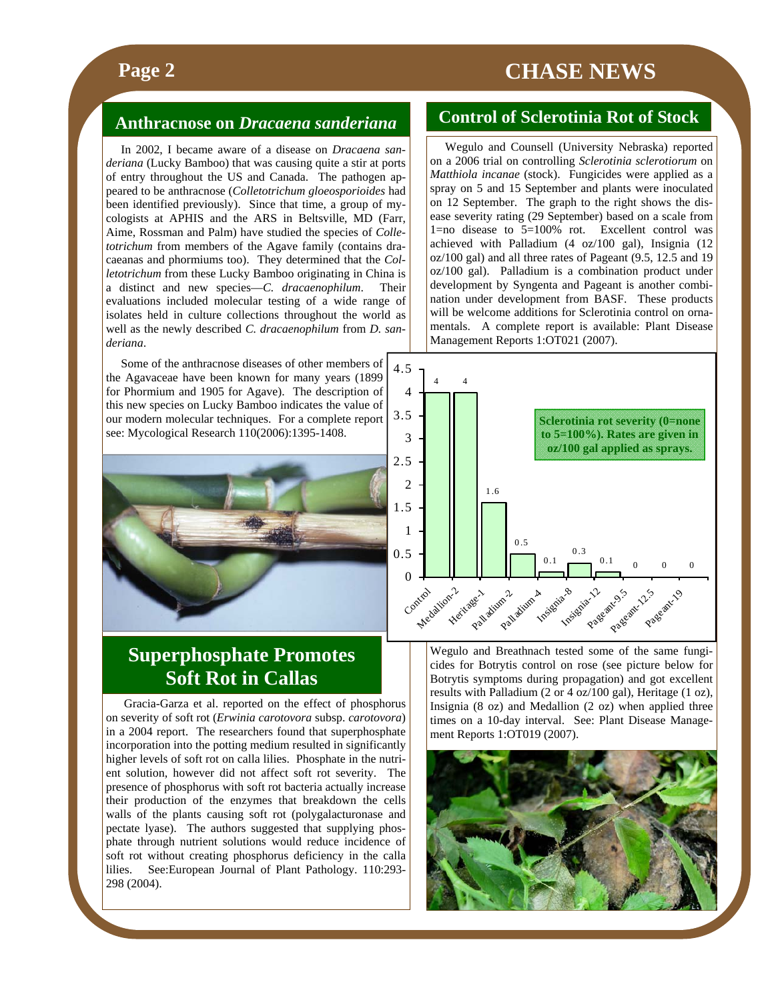### **Page 2** CHASE NEWS

#### **Anthracnose on** *Dracaena sanderiana*

 In 2002, I became aware of a disease on *Dracaena sanderiana* (Lucky Bamboo) that was causing quite a stir at ports of entry throughout the US and Canada. The pathogen appeared to be anthracnose (*Colletotrichum gloeosporioides* had been identified previously). Since that time, a group of mycologists at APHIS and the ARS in Beltsville, MD (Farr, Aime, Rossman and Palm) have studied the species of *Colletotrichum* from members of the Agave family (contains dracaeanas and phormiums too). They determined that the *Colletotrichum* from these Lucky Bamboo originating in China is a distinct and new species—*C. dracaenophilum*. Their evaluations included molecular testing of a wide range of isolates held in culture collections throughout the world as well as the newly described *C. dracaenophilum* from *D. sanderiana*.

 Some of the anthracnose diseases of other members of the Agavaceae have been known for many years (1899 for Phormium and 1905 for Agave). The description of this new species on Lucky Bamboo indicates the value of our modern molecular techniques. For a complete report see: Mycological Research 110(2006):1395-1408.



#### **Superphosphate Promotes Soft Rot in Callas**

 Gracia-Garza et al. reported on the effect of phosphorus on severity of soft rot (*Erwinia carotovora* subsp. *carotovora*) in a 2004 report. The researchers found that superphosphate incorporation into the potting medium resulted in significantly higher levels of soft rot on calla lilies. Phosphate in the nutrient solution, however did not affect soft rot severity. The presence of phosphorus with soft rot bacteria actually increase their production of the enzymes that breakdown the cells walls of the plants causing soft rot (polygalacturonase and pectate lyase). The authors suggested that supplying phosphate through nutrient solutions would reduce incidence of soft rot without creating phosphorus deficiency in the calla lilies. See:European Journal of Plant Pathology. 110:293- 298 (2004).

#### **Control of Sclerotinia Rot of Stock**

 Wegulo and Counsell (University Nebraska) reported on a 2006 trial on controlling *Sclerotinia sclerotiorum* on *Matthiola incanae* (stock). Fungicides were applied as a spray on 5 and 15 September and plants were inoculated on 12 September. The graph to the right shows the disease severity rating (29 September) based on a scale from 1=no disease to 5=100% rot. Excellent control was achieved with Palladium (4 oz/100 gal), Insignia (12 oz/100 gal) and all three rates of Pageant (9.5, 12.5 and 19 oz/100 gal). Palladium is a combination product under development by Syngenta and Pageant is another combination under development from BASF. These products will be welcome additions for Sclerotinia control on ornamentals. A complete report is available: Plant Disease Management Reports 1:OT021 (2007).



Wegulo and Breathnach tested some of the same fungicides for Botrytis control on rose (see picture below for Botrytis symptoms during propagation) and got excellent results with Palladium (2 or 4 oz/100 gal), Heritage (1 oz), Insignia (8 oz) and Medallion (2 oz) when applied three times on a 10-day interval. See: Plant Disease Management Reports 1:OT019 (2007).

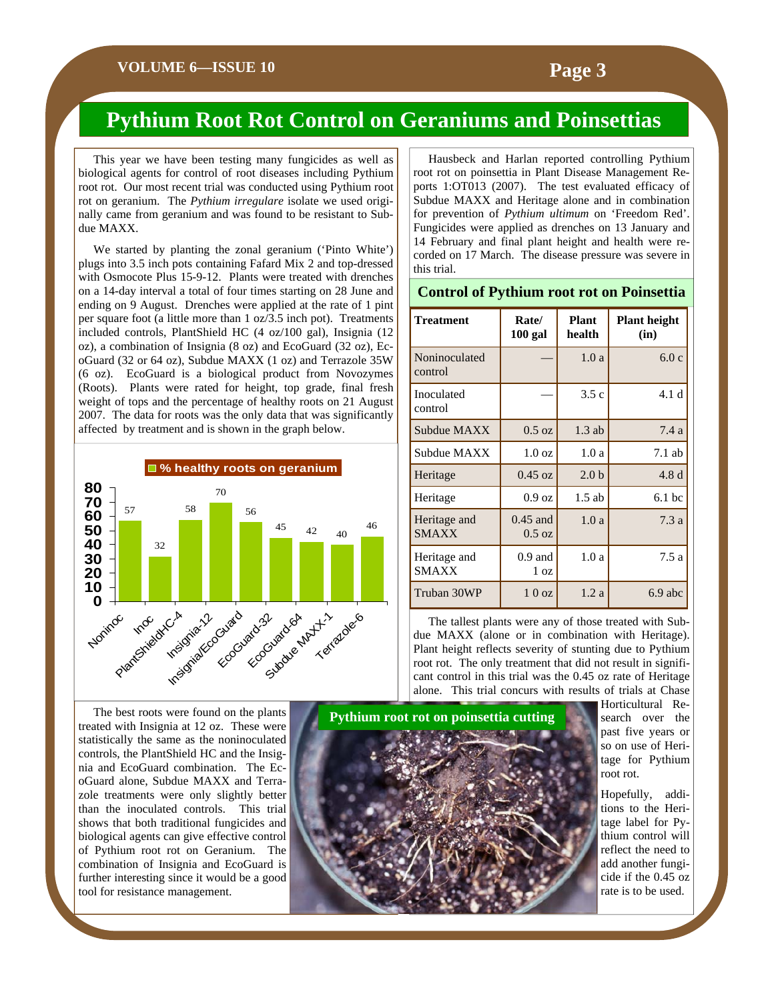#### **Pythium Root Rot Control on Geraniums and Poinsettias**

 This year we have been testing many fungicides as well as biological agents for control of root diseases including Pythium root rot. Our most recent trial was conducted using Pythium root rot on geranium. The *Pythium irregulare* isolate we used originally came from geranium and was found to be resistant to Subdue MAXX.

 We started by planting the zonal geranium ('Pinto White') plugs into 3.5 inch pots containing Fafard Mix 2 and top-dressed with Osmocote Plus 15-9-12. Plants were treated with drenches on a 14-day interval a total of four times starting on 28 June and ending on 9 August. Drenches were applied at the rate of 1 pint per square foot (a little more than 1 oz/3.5 inch pot). Treatments included controls, PlantShield HC (4 oz/100 gal), Insignia (12 oz), a combination of Insignia (8 oz) and EcoGuard (32 oz), EcoGuard (32 or 64 oz), Subdue MAXX (1 oz) and Terrazole 35W (6 oz). EcoGuard is a biological product from Novozymes (Roots). Plants were rated for height, top grade, final fresh weight of tops and the percentage of healthy roots on 21 August 2007. The data for roots was the only data that was significantly affected by treatment and is shown in the graph below.



 Hausbeck and Harlan reported controlling Pythium root rot on poinsettia in Plant Disease Management Reports 1:OT013 (2007). The test evaluated efficacy of Subdue MAXX and Heritage alone and in combination for prevention of *Pythium ultimum* on 'Freedom Red'. Fungicides were applied as drenches on 13 January and 14 February and final plant height and health were recorded on 17 March. The disease pressure was severe in this trial.

#### **Control of Pythium root rot on Poinsettia**

| <b>Treatment</b>             | Rate/<br>$100$ gal             | <b>Plant</b><br>health | <b>Plant height</b><br>(in) |
|------------------------------|--------------------------------|------------------------|-----------------------------|
| Noninoculated<br>control     |                                | 1.0a                   | 6.0c                        |
| Inoculated<br>control        |                                | 3.5c                   | 4.1 d                       |
| Subdue MAXX                  | $0.5 \text{ oz}$               | $1.3$ ab               | 7.4a                        |
| Subdue MAXX                  | $1.0 \text{ oz}$               | 1.0a                   | $7.1$ ab                    |
| Heritage                     | $0.45 \text{ oz}$              | 2.0 <sub>b</sub>       | 4.8d                        |
| Heritage                     | $0.9 \text{ oz}$               | $1.5$ ab               | $6.1$ bc                    |
| Heritage and<br><b>SMAXX</b> | $0.45$ and<br>$0.5 \text{ oz}$ | 1.0a                   | 7.3a                        |
| Heritage and<br><b>SMAXX</b> | $0.9$ and<br>1 oz              | 1.0a                   | 7.5a                        |
| Truban 30WP                  | 10 <sub>oz</sub>               | 1.2a                   | $6.9$ abc                   |

 The tallest plants were any of those treated with Subdue MAXX (alone or in combination with Heritage). Plant height reflects severity of stunting due to Pythium root rot. The only treatment that did not result in significant control in this trial was the 0.45 oz rate of Heritage alone. This trial concurs with results of trials at Chase

 The best roots were found on the plants treated with Insignia at 12 oz. These were statistically the same as the noninoculated controls, the PlantShield HC and the Insignia and EcoGuard combination. The EcoGuard alone, Subdue MAXX and Terrazole treatments were only slightly better than the inoculated controls. This trial shows that both traditional fungicides and biological agents can give effective control of Pythium root rot on Geranium. The combination of Insignia and EcoGuard is further interesting since it would be a good tool for resistance management.



Horticultural Research over the past five years or so on use of Heritage for Pythium root rot.

Hopefully, additions to the Heritage label for Pythium control will reflect the need to add another fungicide if the 0.45 oz rate is to be used.